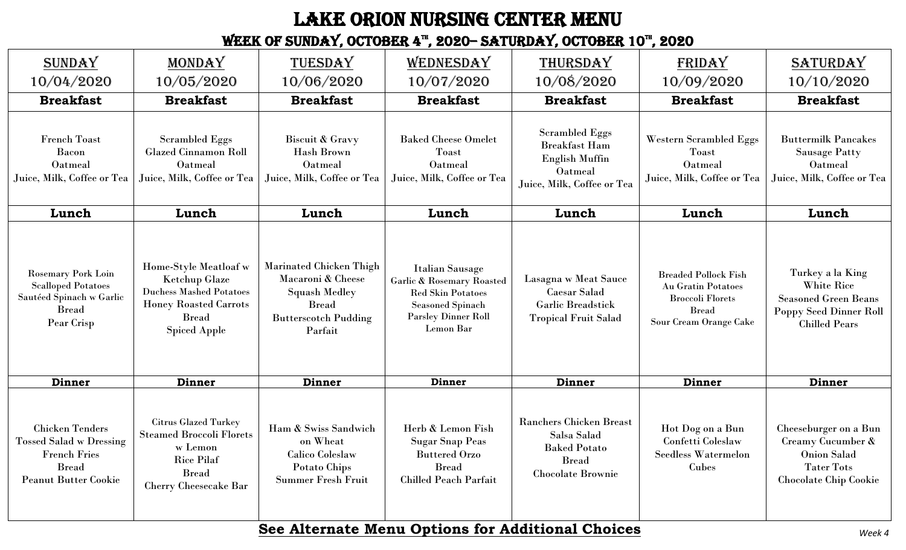## Lake Orion nursing center Menu

WEEK OF SUNDAY, OCTOBER 4<sup>TH</sup>, 2020– SATURDAY, OCTOBER 10<sup>TH</sup>, 2020

| <b>SUNDAY</b>                                                                                                                  | MONDAY                                                                                                                                          | TUESDAY                                                                                                                               | WEDNESDAY                                                                                                                                                        | THURSDAY                                                                                                         | FRIDAY                                                                                                                 | <b>SATURDAY</b>                                                                                                 |
|--------------------------------------------------------------------------------------------------------------------------------|-------------------------------------------------------------------------------------------------------------------------------------------------|---------------------------------------------------------------------------------------------------------------------------------------|------------------------------------------------------------------------------------------------------------------------------------------------------------------|------------------------------------------------------------------------------------------------------------------|------------------------------------------------------------------------------------------------------------------------|-----------------------------------------------------------------------------------------------------------------|
| 10/04/2020                                                                                                                     | 10/05/2020                                                                                                                                      | 10/06/2020                                                                                                                            | 10/07/2020                                                                                                                                                       | 10/08/2020                                                                                                       | 10/09/2020                                                                                                             | 10/10/2020                                                                                                      |
| <b>Breakfast</b>                                                                                                               | <b>Breakfast</b>                                                                                                                                | <b>Breakfast</b>                                                                                                                      | <b>Breakfast</b>                                                                                                                                                 | <b>Breakfast</b>                                                                                                 | <b>Breakfast</b>                                                                                                       | <b>Breakfast</b>                                                                                                |
| <b>French Toast</b><br>Bacon<br>Oatmeal<br>Juice, Milk, Coffee or Tea                                                          | <b>Scrambled Eggs</b><br><b>Glazed Cinnamon Roll</b><br>Oatmeal<br>Juice, Milk, Coffee or Tea                                                   | <b>Biscuit &amp; Gravy</b><br><b>Hash Brown</b><br>Oatmeal<br>Juice, Milk, Coffee or Tea                                              | <b>Baked Cheese Omelet</b><br>Toast<br>Oatmeal<br>Juice, Milk, Coffee or Tea                                                                                     | <b>Scrambled Eggs</b><br><b>Breakfast Ham</b><br><b>English Muffin</b><br>Oatmeal<br>Juice, Milk, Coffee or Tea  | <b>Western Scrambled Eggs</b><br>Toast<br>Oatmeal<br>Juice, Milk, Coffee or Tea                                        | <b>Buttermilk Pancakes</b><br><b>Sausage Patty</b><br>Oatmeal<br>Juice, Milk, Coffee or Tea                     |
| Lunch                                                                                                                          | Lunch                                                                                                                                           | Lunch                                                                                                                                 | Lunch                                                                                                                                                            | Lunch                                                                                                            | Lunch                                                                                                                  | Lunch                                                                                                           |
| <b>Rosemary Pork Loin</b><br><b>Scalloped Potatoes</b><br>Sautéed Spinach w Garlic<br><b>Bread</b><br>Pear Crisp               | Home-Style Meatloaf w<br>Ketchup Glaze<br><b>Duchess Mashed Potatoes</b><br><b>Honey Roasted Carrots</b><br><b>Bread</b><br><b>Spiced Apple</b> | <b>Marinated Chicken Thigh</b><br>Macaroni & Cheese<br><b>Squash Medley</b><br><b>Bread</b><br><b>Butterscotch Pudding</b><br>Parfait | <b>Italian Sausage</b><br><b>Garlie &amp; Rosemary Roasted</b><br><b>Red Skin Potatoes</b><br><b>Seasoned Spinach</b><br><b>Parsley Dinner Roll</b><br>Lemon Bar | Lasagna w Meat Sauce<br><b>Caesar Salad</b><br><b>Garlic Breadstick</b><br><b>Tropical Fruit Salad</b>           | <b>Breaded Pollock Fish</b><br>Au Gratin Potatoes<br><b>Broccoli Florets</b><br><b>Bread</b><br>Sour Cream Orange Cake | Turkey a la King<br>White Rice<br><b>Seasoned Green Beans</b><br>Poppy Seed Dinner Roll<br><b>Chilled Pears</b> |
| Dinner                                                                                                                         | Dinner                                                                                                                                          | Dinner                                                                                                                                | Dinner                                                                                                                                                           | Dinner                                                                                                           | Dinner                                                                                                                 | Dinner                                                                                                          |
| <b>Chicken Tenders</b><br><b>Tossed Salad w Dressing</b><br><b>French Fries</b><br><b>Bread</b><br><b>Peanut Butter Cookie</b> | <b>Citrus Glazed Turkey</b><br><b>Steamed Broccoli Florets</b><br>w Lemon<br><b>Rice Pilaf</b><br><b>Bread</b><br><b>Cherry Cheesecake Bar</b>  | Ham & Swiss Sandwich<br>on Wheat<br><b>Calico Coleslaw</b><br>Potato Chips<br><b>Summer Fresh Fruit</b>                               | Herb & Lemon Fish<br><b>Sugar Snap Peas</b><br><b>Buttered Orzo</b><br><b>Bread</b><br><b>Chilled Peach Parfait</b>                                              | <b>Ranchers Chicken Breast</b><br>Salsa Salad<br><b>Baked Potato</b><br><b>Bread</b><br><b>Chocolate Brownie</b> | Hot Dog on a Bun<br>Confetti Coleslaw<br><b>Seedless Watermelon</b><br>Cubes                                           | Cheeseburger on a Bun<br>Creamy Cucumber &<br>Onion Salad<br><b>Tater Tots</b><br><b>Chocolate Chip Cookie</b>  |

## **See Alternate Menu Options for Additional Choices** *Week 4*